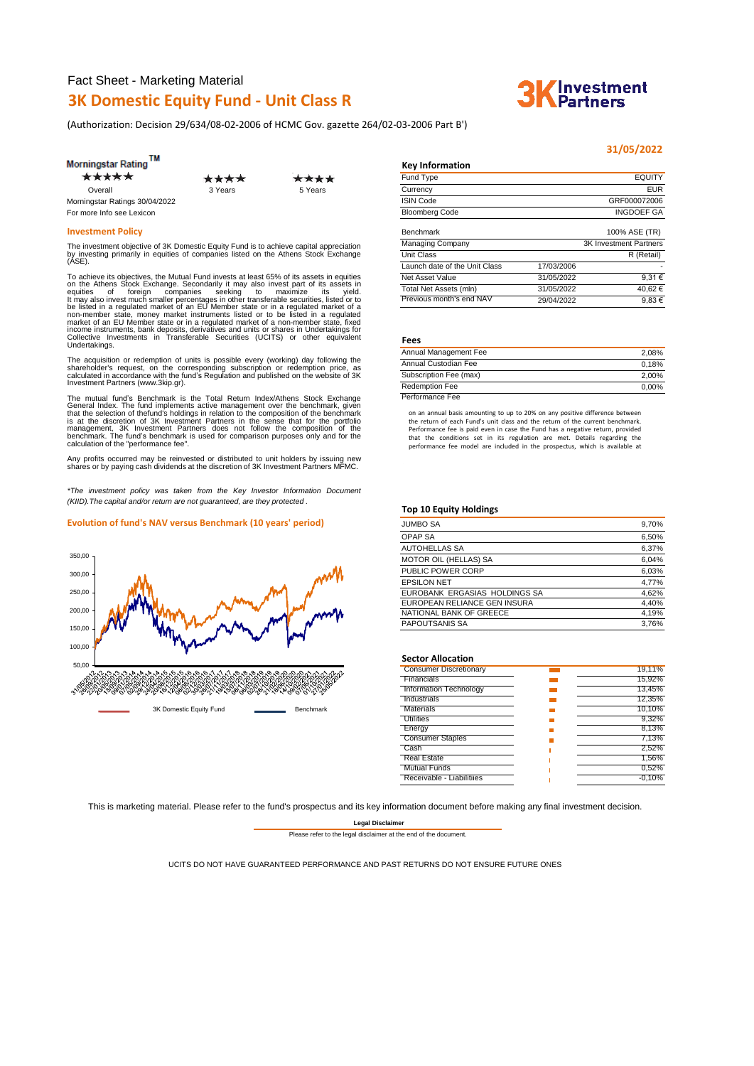(Authorization: Decision 29/634/08-02-2006 of HCMC Gov. gazette 264/02-03-2006 Part Β')

| *****                          | ****    | ***     |
|--------------------------------|---------|---------|
| Overall                        | 3 Years | 5 Years |
| Morningstar Ratings 30/04/2022 |         |         |
| For more Info see Lexicon      |         |         |

To achieve its objectives, the Mutual Funderinx at least 65% of its assets in equities<br>on the Athens Stock Exchange. Secondarily it may also invest part of its assets in<br>equities of foreign companies seeking to maximize it

The acquisition or redemption of units is possible every (working) day following the<br>shareholder's request, on the corresponding subscription or redemption price, as<br>calculated in accordance with the fund's Regulation and Investment Partners (www.3kip.gr).

The mutual fund's Benchmark is the Total Return Indev/Athens Stock Exchange<br>General Index. The fund implements active management over the benchmark, given<br>that the selection of thefund's holdings in relation to the composi

Any profits occurred may be reinvested or distributed to unit holders by issuing new shares or by paying cash dividends at the discretion of 3K Investment Partners MFMC.

*\*The investment policy was taken from the Key Investor Information Document (KIID).The capital and/or return are not guaranteed, are they protected .*

#### **Evolution of fund's NAV versus Benchmark (10 years' period)**



| моншцэм гашу                   |         |         | <b>Rev</b> information |               |
|--------------------------------|---------|---------|------------------------|---------------|
| *****                          | ****    | ****    | Fund Type              | <b>EQUITY</b> |
| Overall                        | 3 Years | 5 Years | Currency               | <b>EUR</b>    |
| Morningstar Ratings 30/04/2022 |         |         | <b>ISIN Code</b>       | GRF000072006  |
| For more Info see Lexicon      |         |         | <b>Bloomberg Code</b>  | INGDOEF GA    |

| <b>Investment Policy</b>                                                                                                                                                                                                                                                | Benchmark                     |            | 100% ASE (TR)                 |
|-------------------------------------------------------------------------------------------------------------------------------------------------------------------------------------------------------------------------------------------------------------------------|-------------------------------|------------|-------------------------------|
| The investment objective of 3K Domestic Equity Fund is to achieve capital appreciation                                                                                                                                                                                  | Managing Company              |            | <b>3K Investment Partners</b> |
| by investing primarily in equities of companies listed on the Athens Stock Exchange<br>(ASE).                                                                                                                                                                           | Unit Class                    |            | R (Retail)                    |
|                                                                                                                                                                                                                                                                         | Launch date of the Unit Class | 17/03/2006 |                               |
|                                                                                                                                                                                                                                                                         | Net Asset Value               | 31/05/2022 | $9.31 \in$                    |
| To achieve its objectives, the Mutual Fund invests at least 65% of its assets in equities<br>on the Athens Stock Exchange. Secondarily it may also invest part of its assets in<br>eauities<br>seekina<br>vield.<br>maximize<br>of<br>foreian<br>its<br>to<br>companies | Total Net Assets (mln)        | 31/05/2022 | 40.62€                        |
| It may also invest much smaller percentages in other transferable securities, listed or to                                                                                                                                                                              | Previous month's end NAV      | 29/04/2022 | $9.83 \in$                    |

#### **Fees**

**Key Information**

| Annual Management Fee  | 2.08%    |
|------------------------|----------|
| Annual Custodian Fee   | 0.18%    |
| Subscription Fee (max) | 2.00%    |
| <b>Redemption Fee</b>  | $0.00\%$ |
| Performance Fee        |          |

on an annual basis amounting to up to 20% on any positive difference between the return of each Fund's unit class and the return of the current benchmark. Performance fee is paid even in case the Fund has a negative return, provided that the conditions set in its regulation are met. Details regarding the performance fee model are included in the prospectus, which is available at

#### **Top 10 Equity Holdings**

| <b>JUMBO SA</b>               | 9,70% |
|-------------------------------|-------|
| OPAP SA                       | 6,50% |
| <b>AUTOHELLAS SA</b>          | 6,37% |
| <b>MOTOR OIL (HELLAS) SA</b>  | 6.04% |
| PUBLIC POWER CORP             | 6,03% |
| <b>EPSILON NET</b>            | 4,77% |
| EUROBANK ERGASIAS HOLDINGS SA | 4.62% |
| EUROPEAN RELIANCE GEN INSURA  | 4,40% |
| NATIONAL BANK OF GREECE       | 4,19% |
| <b>PAPOUTSANIS SA</b>         | 3.76% |

#### **Sector Allocation**

| <b>Consumer Discretionary</b> | 19.11%   |
|-------------------------------|----------|
| Financials                    | 15,92%   |
| Information Technology        | 13,45%   |
| Industrials                   | 12,35%   |
| Materials                     | 10.10%   |
| <b>Utilities</b>              | 9.32%    |
| Energy                        | 8,13%    |
| <b>Consumer Staples</b>       | 7,13%    |
| Cash                          | 2,52%    |
| <b>Real Estate</b>            | 1.56%    |
| <b>Mutual Funds</b>           | 0.52%    |
| Receivable - Liabilitiies     | $-0.10%$ |
|                               |          |

This is marketing material. Please refer to the fund's prospectus and its key information document before making any final investment decision.

**Legal Disclaimer**

Please refer to the legal disclaimer at the end of the document.

UCITS DO NOT HAVE GUARANTEED PERFORMANCE AND PAST RETURNS DO NOT ENSURE FUTURE ONES



# **Thvestment**<br>Partners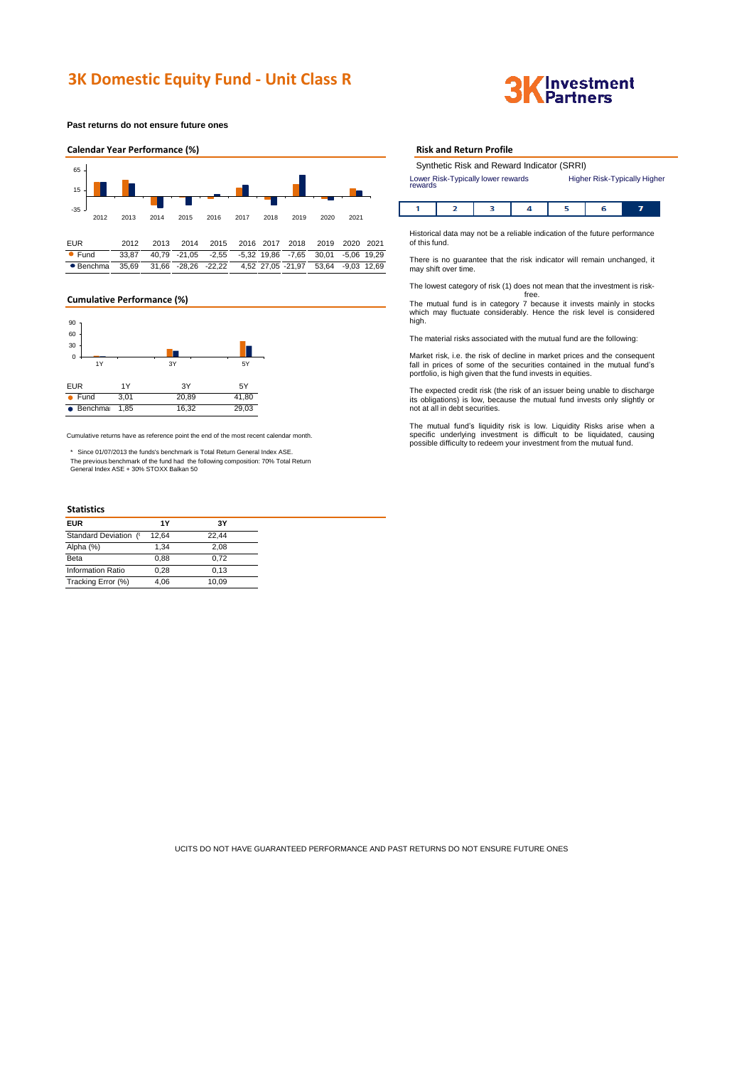**Past returns do not ensure future ones**



### **Cumulative Performance (%)**



Cumulative returns have as reference point the end of the most recent calendar month.

\* Since 01/07/2013 the funds's benchmark is Total Return General Index ASE. The previous benchmark of the fund had the following composition: 70% Total Return General Index ASE + 30% STOXX Balkan 50

## **Statistics**

| <b>EUR</b>               | 1Υ    | 3Υ    |
|--------------------------|-------|-------|
| Standard Deviation ('    | 12.64 | 22.44 |
| Alpha (%)                | 1.34  | 2.08  |
| Beta                     | 0.88  | 0.72  |
| <b>Information Ratio</b> | 0.28  | 0.13  |
| Tracking Error (%)       | 4.06  | 10.09 |

#### **Risk and Return Profile**

| Synthetic Risk and Reward Indicator (SRRI)    |                                     |  |
|-----------------------------------------------|-------------------------------------|--|
| Lower Risk-Typically lower rewards<br>rewards | <b>Higher Risk-Typically Higher</b> |  |

|--|--|

Historical data may not be a reliable indication of the future performance of this fund.

There is no guarantee that the risk indicator will remain unchanged, it may shift over time.

The lowest category of risk (1) does not mean that the investment is risk-

free. The mutual fund is in category 7 because it invests mainly in stocks which may fluctuate considerably. Hence the risk level is considered high.

The material risks associated with the mutual fund are the following:

Market risk, i.e. the risk of decline in market prices and the consequent fall in prices of some of the securities contained in the mutual fund's portfolio, is high given that the fund invests in equities.

The expected credit risk (the risk of an issuer being unable to discharge its obligations) is low, because the mutual fund invests only slightly or not at all in debt securities.

The mutual fund's liquidity risk is low. Liquidity Risks arise when a<br>specific underlying investment is difficult to be liquidated, causing<br>possible difficultyto redeem your investment from the mutual fund.

UCITS DO NOT HAVE GUARANTEED PERFORMANCE AND PAST RETURNS DO NOT ENSURE FUTURE ONES

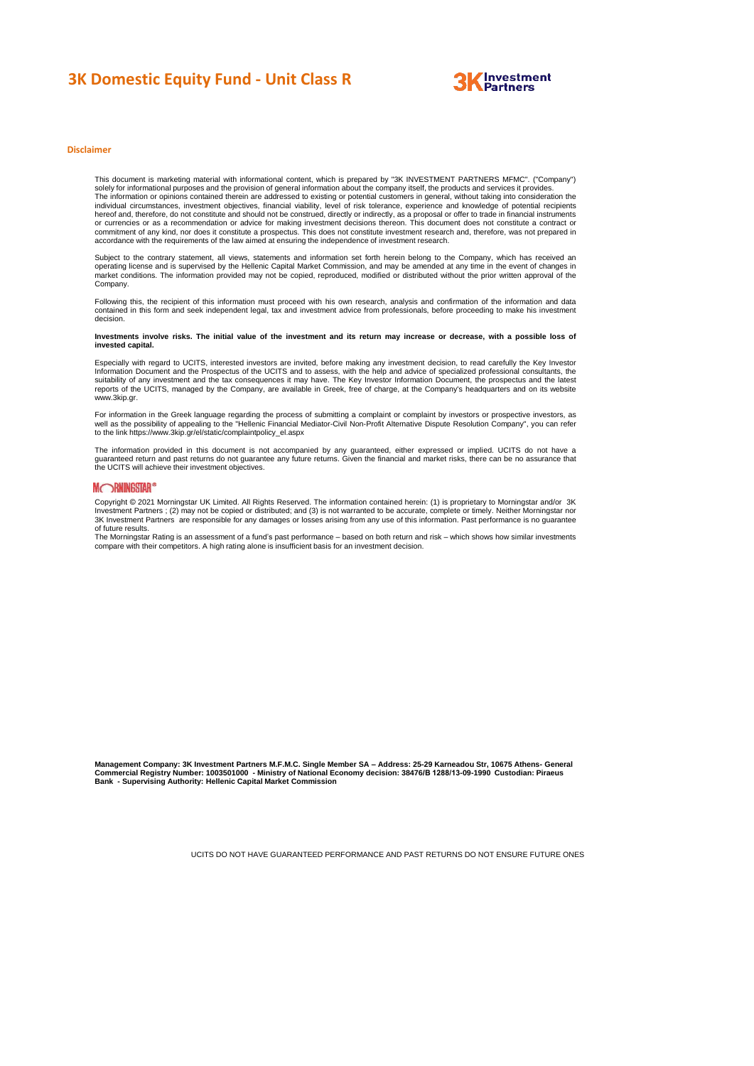

#### **Disclaimer**

This document is marketing material with informational content, which is prepared by "3K INVESTMENT PARTNERS MFMC". ("Company")<br>solely for informational purposes and the provision of general information about the company i The information or opinions contained therein are addressed to existing or potential customers in general, without taking into consideration the<br>individual circumstances, investment objectives, financial viability, level o hereof and, therefore, do not constitute and should not be construed, directly or indirectly, as a proposal or offer to trade in financial instruments<br>or currencies or as a recommendation or advice for making investment de accordance with the requirements of the law aimed at ensuring the independence of investment research.

Subject to the contrary statement, all views, statements and information set forth herein belong to the Company, which has received an<br>operating license and is supervised by the Hellenic Capital Market Commission, and may Company.

Following this, the recipient of this information must proceed with his own research, analysis and confirmation of the information and data contained in this form and seek independent legal, tax and investment advice from professionals, before proceeding to make his investment decision.

#### Investments involve risks. The initial value of the investment and its return may increase or decrease, with a possible loss of **invested capital.**

Especially with regard to UCITS, interested investors are invited, before making any investment decision, to read carefully the Key Investor Information Document and the Prospectus of the UCITS and to assess, with the help and advice of specialized professional consultants, the<br>suitability of any investment and the tax consequences it may have. The Key Investor reports of the UCITS, managed by the Company, are available in Greek, free of charge, at the Company's headquarters and on its website www.3kip.gr

For information in the Greek language regarding the process of submitting a complaint or complaint by investors or prospective investors, as<br>well as the possibility of appealing to the "Hellenic Financial Mediator-Civil No to the link https://www.3kip.gr/el/static/complaintpolicy\_el.aspx

The information provided in this document is not accompanied by any guaranteed, either expressed or implied. UCITS do not have a<br>guaranteed return and past returns do not guarantee any future returns. Given the financial a

#### **MORNINGSTAR®**

Copyright © 2021 Morningstar UK Limited. All Rights Reserved. The information contained herein: (1) is proprietary to Morningstar and/or 3K<br>Investment Partners : (2) may not be copied or distributed: and (3) is not warrant .<br>Invent Partners ; (2) may not be copied or distributed; and (3) is not warranted to be accurate, complete or timely. Neither Morningstar nor 3K Investment Partners are responsible for any damages or losses arising from any use of this information. Past performance is no guarantee

of future results. The Morningstar Rating is an assessment of a fund's past performance – based on both return and risk – which shows how similar investments compare with their competitors. A high rating alone is insufficient basis for an investment decision.

**Management Company: 3K Investment Partners M.F.M.C. Single Member SA – Address: 25-29 Karneadou Str, 10675 Athens- General Commercial Registry Number: 1003501000 - Ministry of National Economy decision: 38476/Β 1288/13-09-1990 Custodian: Piraeus Bank - Supervising Authority: Hellenic Capital Market Commission**

UCITS DO NOT HAVE GUARANTEED PERFORMANCE AND PAST RETURNS DO NOT ENSURE FUTURE ONES